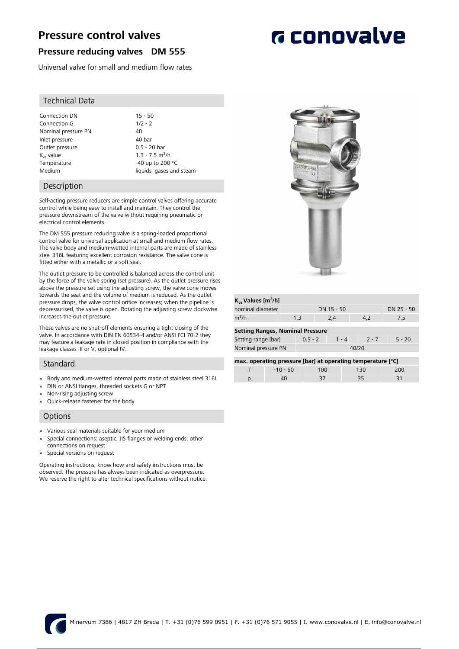# **Pressure control valves**

## **Pressure reducing valves DM 555**

Universal valve for small and medium flow rates

#### Technical Data

Connection DN 15 - 50<br>Connection G 1/2 - 2 Connection G Nominal pressure PN 40 Inlet pressure 40 bar 40 bar 40 bar 9.5 - 20 bar 9.1 million and the US at 40 bar 9.5 - 20 bar 9.1 million and  $\overline{a}$ Outlet pressure  $K_{vs}$  value  $K_{vs}$  value 1.3 - 7.5 m<sup>3</sup>/h Medium and steam liquids, gases and steam

-40 up to 200  $^{\circ}$ C

#### Description

Self-acting pressure reducers are simple control valves offering accurate control while being easy to install and maintain. They control the pressure downstream of the valve without requiring pneumatic or electrical control elements.

The DM 555 pressure reducing valve is a spring-loaded proportional control valve for universal application at small and medium flow rates. The valve body and medium-wetted internal parts are made of stainless steel 316L featuring excellent corrosion resistance. The valve cone is fitted either with a metallic or a soft seal.

The outlet pressure to be controlled is balanced across the control unit by the force of the valve spring (set pressure). As the outlet pressure rises above the pressure set using the adjusting screw, the valve cone moves towards the seat and the volume of medium is reduced. As the outlet pressure drops, the valve control orifice increases; when the pipeline is depressurised, the valve is open. Rotating the adjusting screw clockwise increases the outlet pressure.

These valves are no shut-off elements ensuring a tight closing of the valve. In accordance with DIN EN 60534-4 and/or ANSI FCI 70-2 they may feature a leakage rate in closed position in compliance with the leakage classes III or V, optional IV.

#### Standard

- » Body and medium-wetted internal parts made of stainless steel 316L
- » DIN or ANSI flanges, threaded sockets G or NPT
- » Non-rising adjusting screw
- » Quick-release fastener for the body

#### **Options**

- » Various seal materials suitable for your medium
- » Special connections: aseptic, JIS flanges or welding ends; other connections on request
- Special versions on request

Operating instructions, know how and safety instructions must be observed. The pressure has always been indicated as overpressure. We reserve the right to alter technical specifications without notice.



### **Kvs Values [m<sup>3</sup> /h]**

| nominal diameter                                                   |     | DN 25 - 50 |     |     |  |  |  |
|--------------------------------------------------------------------|-----|------------|-----|-----|--|--|--|
| $m^3/h$                                                            | 1.3 | 2,4        | 4.2 | 7,5 |  |  |  |
|                                                                    |     |            |     |     |  |  |  |
| <b>Setting Ranges, Nominal Pressure</b>                            |     |            |     |     |  |  |  |
| Setting range [bar]<br>$0.5 - 2$<br>$5 - 20$<br>$1 - 4$<br>$2 - 7$ |     |            |     |     |  |  |  |
| Nominal pressure PN                                                |     | 40/20      |     |     |  |  |  |
|                                                                    |     |            |     |     |  |  |  |
|                                                                    |     |            |     |     |  |  |  |

| max. operating pressure [bar] at operating temperature $[°C]$ |            |     |     |     |  |  |  |
|---------------------------------------------------------------|------------|-----|-----|-----|--|--|--|
|                                                               | $-10 - 50$ | 100 | 130 | 200 |  |  |  |
|                                                               |            | -37 | 35  |     |  |  |  |

# **G** conovalve

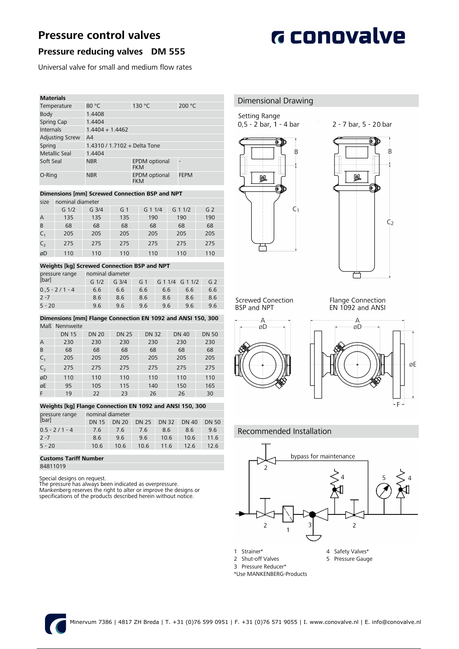# **Pressure control valves**

# **G** conovalve

## **Pressure reducing valves DM 555**

Universal valve for small and medium flow rates

| <b>Materials</b>       |                              |                                    |             |  |  |  |  |
|------------------------|------------------------------|------------------------------------|-------------|--|--|--|--|
| Temperature            | 80 $^{\circ}$ C              | 130 °C                             | 200 °C      |  |  |  |  |
| Body                   | 1.4408                       |                                    |             |  |  |  |  |
| Spring Cap             | 1.4404                       |                                    |             |  |  |  |  |
| Internals              | $1.4404 + 1.4462$            |                                    |             |  |  |  |  |
| <b>Adjusting Screw</b> | A4                           |                                    |             |  |  |  |  |
| Spring                 | 1.4310 / 1.7102 + Delta Tone |                                    |             |  |  |  |  |
| <b>Metallic Seal</b>   | 1.4404                       |                                    |             |  |  |  |  |
| Soft Seal              | <b>NBR</b>                   | <b>EPDM</b> optional<br><b>FKM</b> |             |  |  |  |  |
| O-Ring                 | <b>NBR</b>                   | <b>EPDM</b> optional<br><b>FKM</b> | <b>FEPM</b> |  |  |  |  |

#### **Dimensions [mm] Screwed Connection BSP and NPT**

| size           | nominal diameter |                  |                |         |          |                |  |  |
|----------------|------------------|------------------|----------------|---------|----------|----------------|--|--|
|                | $G_1/2$          | G <sub>3/4</sub> | G <sub>1</sub> | G 1 1/4 | $G_11/2$ | G <sub>2</sub> |  |  |
| A              | 135              | 135              | 135            | 190     | 190      | 190            |  |  |
| B              | 68               | 68               | 68             | 68      | 68       | 68             |  |  |
| $C_{1}$        | 205              | 205              | 205            | 205     | 205      | 205            |  |  |
| C <sub>2</sub> | 275              | 275              | 275            | 275     | 275      | 275            |  |  |
| øD             | 110              | 110              | 110            | 110     | 110      | 110            |  |  |

#### **Weights [kg] Screwed Connection BSP and NPT**

| pressure range<br>[bar] | nominal diameter |         |                |                 |     |                |  |
|-------------------------|------------------|---------|----------------|-----------------|-----|----------------|--|
|                         | $G_1/2$          | $G_3/4$ | G <sub>1</sub> | G 1 1/4 G 1 1/2 |     | G <sub>2</sub> |  |
| $0.5 - 2/1 - 4$         | 6.6              | 6.6     | 6.6            | 6.6             | 6.6 | 6.6            |  |
| $2 - 7$                 | 8.6              | 8.6     | 8.6            | 8.6             | 8.6 | 8.6            |  |
| $5 - 20$                | 96               | 96      | 9.6            | 96              | 9.6 | 9.6            |  |

## **Dimensions [mm] Flange Connection EN 1092 and ANSI 150, 300**

| Maß     | Nennweite    |              |              |              |              |              |  |
|---------|--------------|--------------|--------------|--------------|--------------|--------------|--|
|         | <b>DN 15</b> | <b>DN 20</b> | <b>DN 25</b> | <b>DN 32</b> | <b>DN 40</b> | <b>DN 50</b> |  |
| Α       | 230          | 230          | 230          | 230          | 230          | 230          |  |
| B       | 68           | 68           | 68           | 68           | 68           | 68           |  |
| $C_1$   | 205          | 205          | 205          | 205          | 205          | 205          |  |
| $C_{2}$ | 275          | 275          | 275          | 275          | 275          | 275          |  |
| øD      | 110          | 110          | 110          | 110          | 110          | 110          |  |
| øE      | 95           | 105          | 115          | 140          | 150          | 165          |  |
| F       | 19           | 22           | 23           | 26           | 26           | 30           |  |

#### **Weights [kg] Flange Connection EN 1092 and ANSI 150, 300** pressure range nominal diameter

| [bar]           |      |        | DN 15 DN 20 DN 25 DN 32 DN 40 DN 50 |      |      |      |
|-----------------|------|--------|-------------------------------------|------|------|------|
| $0.5 - 2/1 - 4$ | 7.6  | $-7.6$ | 7.6                                 | 8.6  | 8.6  | 9.6  |
| $2 - 7$         | 8.6  | 9.6    | 9.6                                 | 10.6 | 10.6 | 11.6 |
| $5 - 20$        | 10.6 | 10.6   | 10.6                                | 11.6 | 12.6 | 12.6 |
|                 |      |        |                                     |      |      |      |

#### **Customs Tariff Number** 84811019

Special designs on request. The pressure has always been indicated as overpressure.

Mankenberg reserves the right to alter or improve the designs or specifications of the products described herein without notice.

#### Dimensional Drawing

Setting Range

0,5 - 2 bar, 1 - 4 bar





2 - 7 bar, 5 - 20 bar

**Screwed Conection** BSP and NPT

**Flange Connection** EN 1092 and ANSI





#### Recommended Installation



- 1 Strainer\* 4 Safety Valves\*
- 2 Shut-off Valves 5 Pressure Gauge
- 3 Pressure Reducer\*

\*Use MANKENBERG-Products